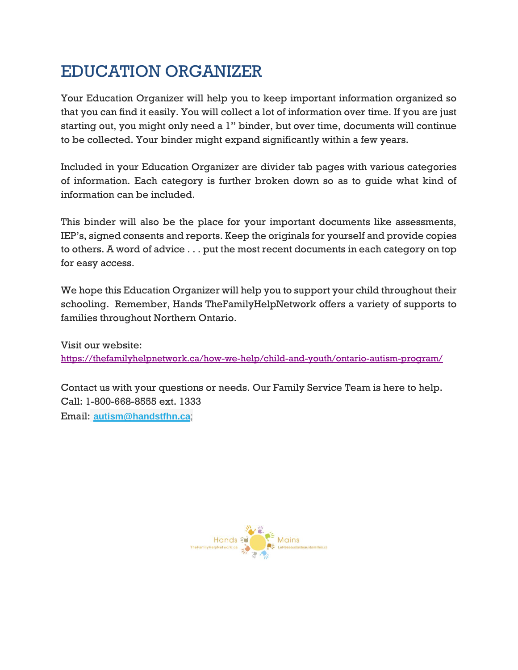### EDUCATION ORGANIZER

Your Education Organizer will help you to keep important information organized so that you can find it easily. You will collect a lot of information over time. If you are just starting out, you might only need a 1" binder, but over time, documents will continue to be collected. Your binder might expand significantly within a few years.

Included in your Education Organizer are divider tab pages with various categories of information. Each category is further broken down so as to guide what kind of information can be included.

This binder will also be the place for your important documents like assessments, IEP's, signed consents and reports. Keep the originals for yourself and provide copies to others. A word of advice . . . put the most recent documents in each category on top for easy access.

We hope this Education Organizer will help you to support your child throughout their schooling. Remember, Hands TheFamilyHelpNetwork offers a variety of supports to families throughout Northern Ontario.

Visit our website: <https://thefamilyhelpnetwork.ca/how-we-help/child-and-youth/ontario-autism-program/>

Contact us with your questions or needs. Our Family Service Team is here to help. Call: 1-800-668-8555 ext. 1333

Email: **[autism@handstfhn.ca](mailto:autism@handstfhn.ca)**;

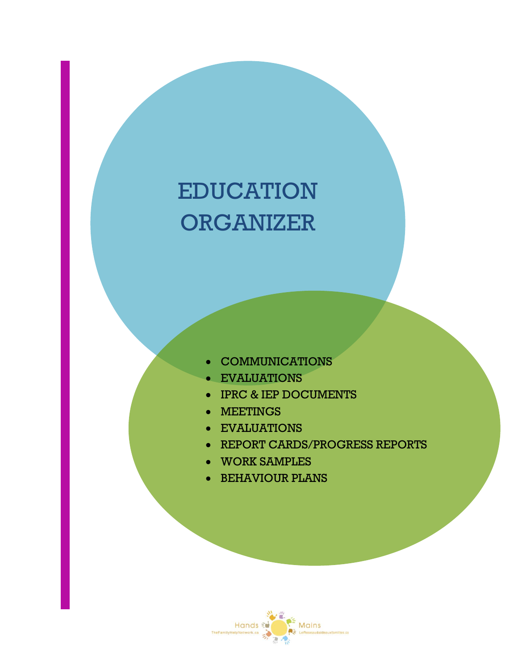# EDUCATION **ORGANIZER**

- **COMMUNICATIONS**
- EVALUATIONS
- IPRC & IEP DOCUMENTS
- MEETINGS
- EVALUATIONS
- REPORT CARDS/PROGRESS REPORTS
- WORK SAMPLES
- BEHAVIOUR PLANS

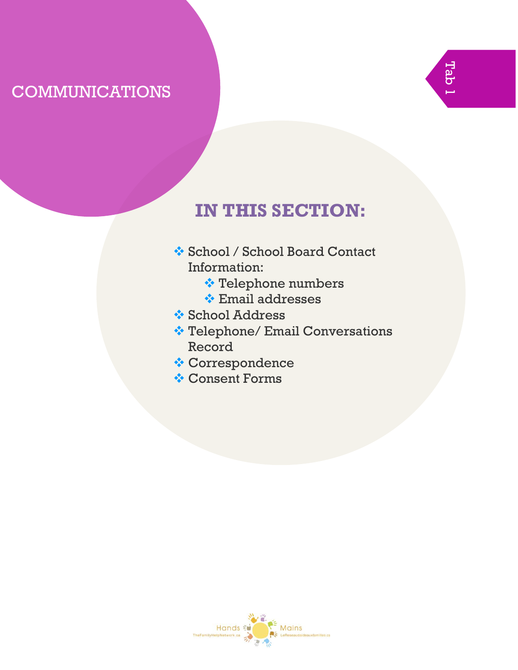### COMMUNICATIONS



- ❖ School / School Board Contact Information:
	- ❖ Telephone numbers
	- ❖ Email addresses
- ❖ School Address
- ❖ Telephone/ Email Conversations Record
- ❖ Correspondence
- ❖ Consent Forms

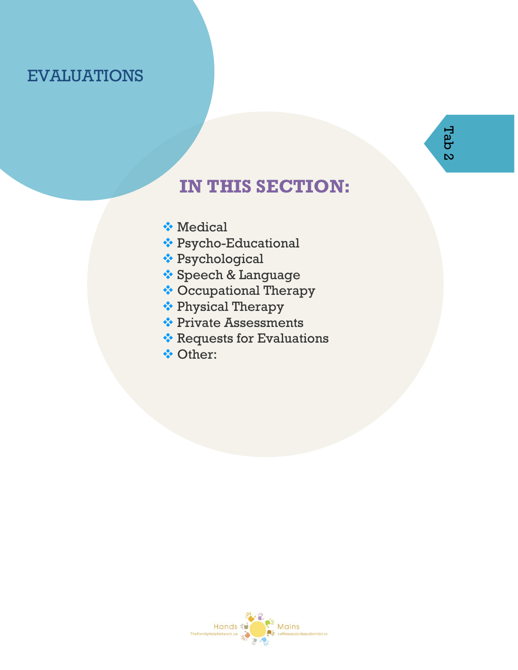#### EVALUATIONS

- ❖ Medical
- ❖ Psycho-Educational
- ❖ Psychological
- ❖ Speech & Language
- ❖ Occupational Therapy
- ❖ Physical Therapy
- ❖ Private Assessments
- ❖ Requests for Evaluations
- ❖ Other:

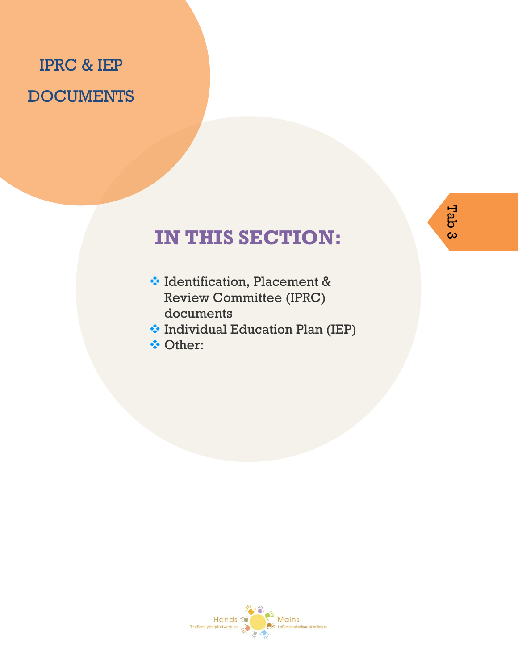## IPRC & IEP **DOCUMENTS**

- ❖ Identification, Placement & Review Committee (IPRC) documents
- ❖ Individual Education Plan (IEP)
- ❖ Other:

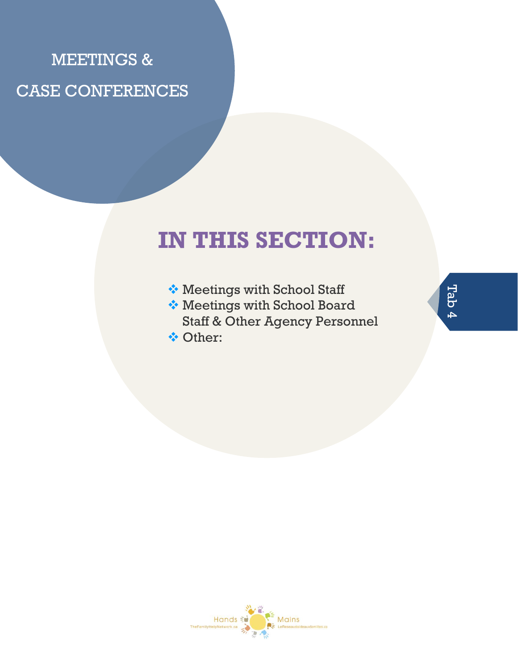## MEETINGS & CASE CONFERENCES

## **IN THIS SECTION:**

- ❖ Meetings with School Staff
- ❖ Meetings with School Board Staff & Other Agency Personnel
- ❖ Other:



Tab 4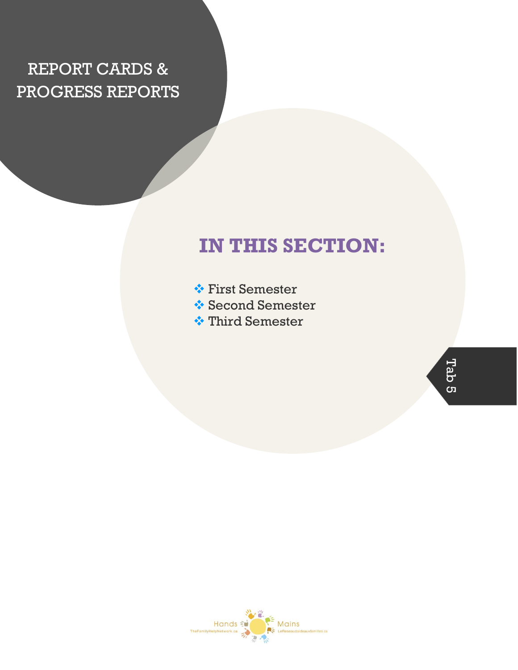## REPORT CARDS & PROGRESS REPORTS

## **IN THIS SECTION:**

- ❖ First Semester
- ❖ Second Semester
- ❖ Third Semester

Tab 5

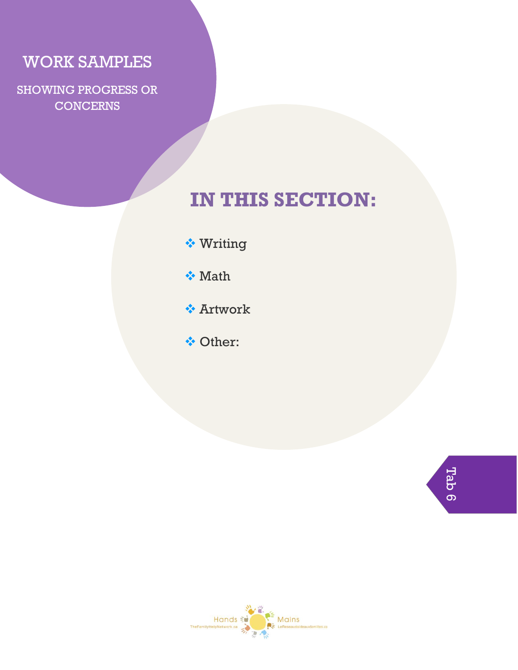#### WORK SAMPLES

SHOWING PROGRESS OR **CONCERNS** 

## **IN THIS SECTION:**

- ❖ Writing
- ❖ Math
- ❖ Artwork
- ❖ Other:

Tab 6